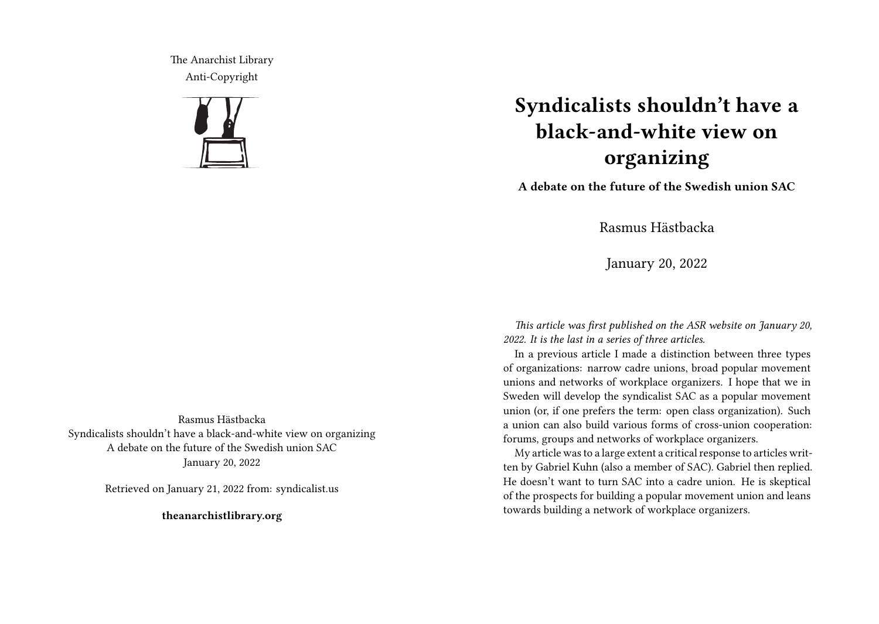The Anarchist Library Anti-Copyright



## **Syndicalists shouldn't have a black-and-white view on organizing**

**A debate on the future of the Swedish union SAC**

Rasmus Hästbacka

January 20, 2022

*This article was first published on the ASR website on January 20, 2022. It is the last in a series of three articles.*

In a previous article I made a distinction between three types of organizations: narrow cadre unions, broad popular movement unions and networks of workplace organizers. I hope that we in Sweden will develop the syndicalist SAC as a popular movement union (or, if one prefers the term: open class organization). Such a union can also build various forms of cross-union cooperation: forums, groups and networks of workplace organizers.

My article was to a large extent a critical response to articles written by Gabriel Kuhn (also a member of SAC). Gabriel then replied. He doesn't want to turn SAC into a cadre union. He is skeptical of the prospects for building a popular movement union and leans towards building a network of workplace organizers.

Rasmus Hästbacka Syndicalists shouldn't have a black-and-white view on organizing A debate on the future of the Swedish union SAC January 20, 2022

Retrieved on January 21, 2022 from: syndicalist.us

**theanarchistlibrary.org**